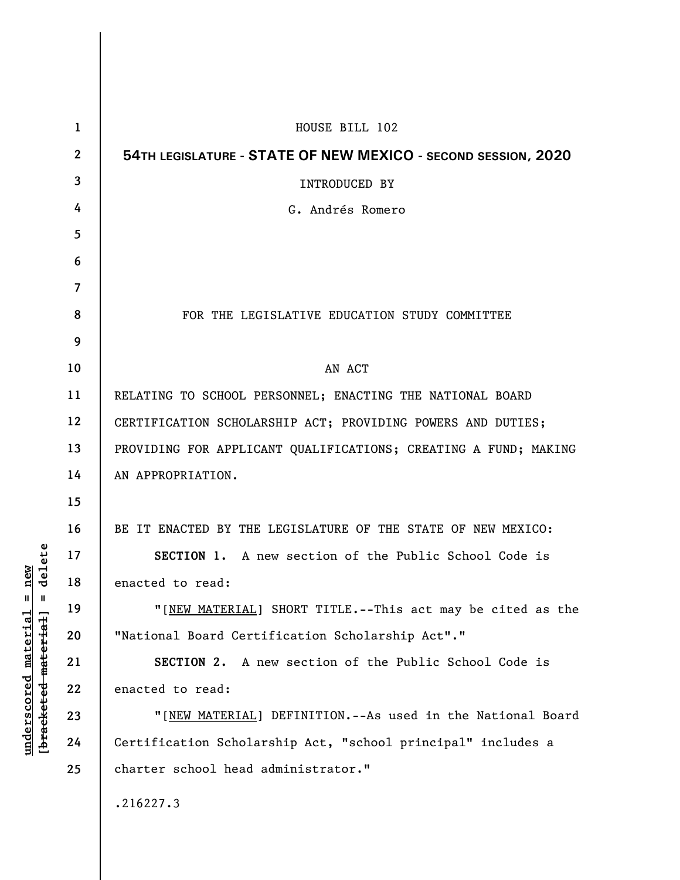| 1                | HOUSE BILL 102                                                  |
|------------------|-----------------------------------------------------------------|
| $\boldsymbol{2}$ | 54TH LEGISLATURE - STATE OF NEW MEXICO - SECOND SESSION, 2020   |
| $\mathbf{3}$     | <b>INTRODUCED BY</b>                                            |
| 4                | G. Andrés Romero                                                |
| 5                |                                                                 |
| 6                |                                                                 |
| 7                |                                                                 |
| 8                | FOR THE LEGISLATIVE EDUCATION STUDY COMMITTEE                   |
| 9                |                                                                 |
| 10               | AN ACT                                                          |
| 11               | RELATING TO SCHOOL PERSONNEL; ENACTING THE NATIONAL BOARD       |
| 12               | CERTIFICATION SCHOLARSHIP ACT; PROVIDING POWERS AND DUTIES;     |
| 13               | PROVIDING FOR APPLICANT QUALIFICATIONS; CREATING A FUND; MAKING |
| 14               | AN APPROPRIATION.                                               |
| 15               |                                                                 |
| 16               | BE IT ENACTED BY THE LEGISLATURE OF THE STATE OF NEW MEXICO:    |
| 17               | SECTION 1. A new section of the Public School Code is           |
| 18               | enacted to read:                                                |
| 19               | "[NEW MATERIAL] SHORT TITLE.--This act may be cited as the      |
| 20               | "National Board Certification Scholarship Act"."                |
| 21               | SECTION 2. A new section of the Public School Code is           |
| 22               | enacted to read:                                                |
| 23               | "[NEW MATERIAL] DEFINITION.--As used in the National Board      |
| 24               | Certification Scholarship Act, "school principal" includes a    |
| 25               | charter school head administrator."                             |
|                  | .216227.3                                                       |
|                  |                                                                 |

 $\overline{\phantom{a}}$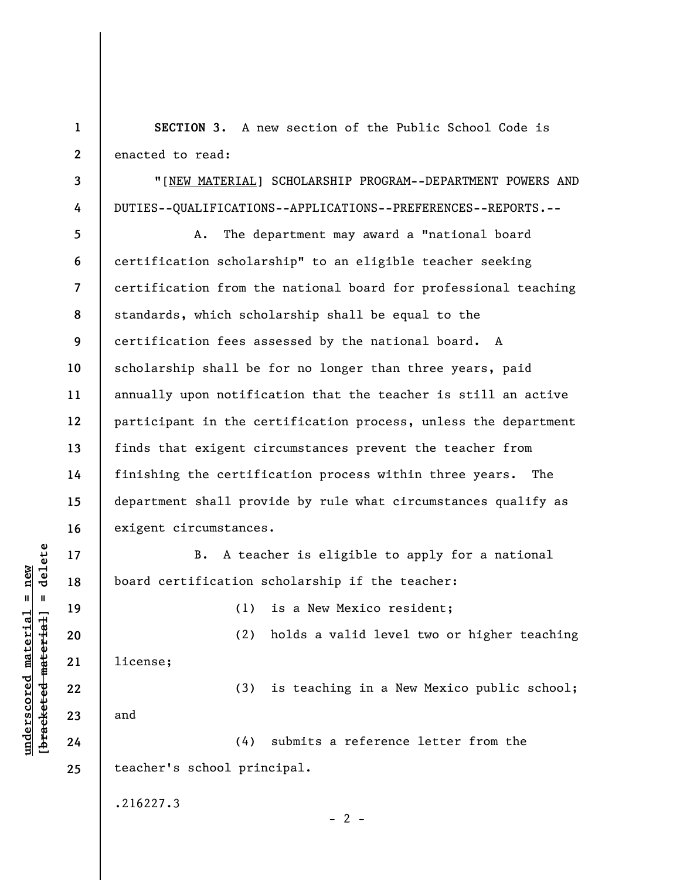**1 2 SECTION 3.** A new section of the Public School Code is enacted to read:

"[NEW MATERIAL] SCHOLARSHIP PROGRAM--DEPARTMENT POWERS AND DUTIES--QUALIFICATIONS--APPLICATIONS--PREFERENCES--REPORTS.--

**5 6 7 8 9 10 11 12 13 14 15 16**  A. The department may award a "national board certification scholarship" to an eligible teacher seeking certification from the national board for professional teaching standards, which scholarship shall be equal to the certification fees assessed by the national board. A scholarship shall be for no longer than three years, paid annually upon notification that the teacher is still an active participant in the certification process, unless the department finds that exigent circumstances prevent the teacher from finishing the certification process within three years. The department shall provide by rule what circumstances qualify as exigent circumstances.

B. A teacher is eligible to apply for a national board certification scholarship if the teacher:

(1) is a New Mexico resident;

 $- 2 -$ 

**21**  license;

(3) is teaching in a New Mexico public school;

(2) holds a valid level two or higher teaching

and

(4) submits a reference letter from the teacher's school principal.

.216227.3

 $\frac{1}{2}$  intereted material = delete **[bracketed material] = delete**  $underscored material = new$ **underscored material = new**

**17** 

**18** 

**19** 

**20** 

**22** 

**23** 

**24** 

**25** 

**3** 

**4**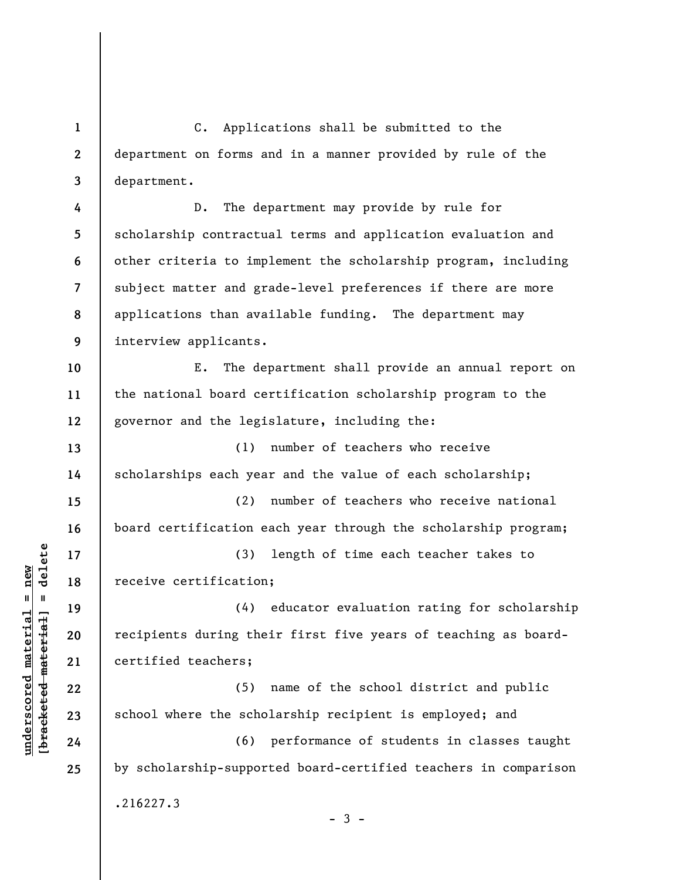**1 2 3**  C. Applications shall be submitted to the department on forms and in a manner provided by rule of the department.

**4 5 6 7 8 9**  D. The department may provide by rule for scholarship contractual terms and application evaluation and other criteria to implement the scholarship program, including subject matter and grade-level preferences if there are more applications than available funding. The department may interview applicants.

**10 11 12**  E. The department shall provide an annual report on the national board certification scholarship program to the governor and the legislature, including the:

**13 14**  (1) number of teachers who receive scholarships each year and the value of each scholarship;

**15 16**  (2) number of teachers who receive national board certification each year through the scholarship program;

(3) length of time each teacher takes to receive certification;

(4) educator evaluation rating for scholarship recipients during their first five years of teaching as boardcertified teachers;

(5) name of the school district and public school where the scholarship recipient is employed; and

(6) performance of students in classes taught by scholarship-supported board-certified teachers in comparison .216227.3

 $-3 -$ 

 $b$ racketed material] = delete **[bracketed material] = delete**  $underscored material = new$ **underscored material = new**

**17** 

**18** 

**19** 

**20** 

**21** 

**22** 

**23** 

**24** 

**25**